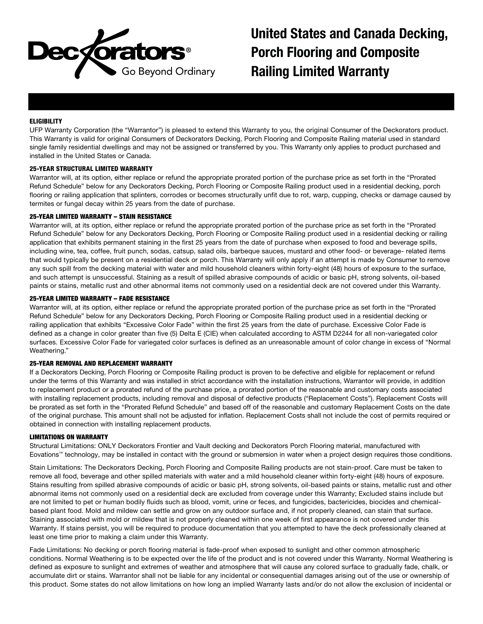

United States and Canada Decking, Porch Flooring and Composite Railing Limited Warranty

# **ELIGIBILITY**

UFP Warranty Corporation (the "Warrantor") is pleased to extend this Warranty to you, the original Consumer of the Deckorators product. This Warranty is valid for original Consumers of Deckorators Decking, Porch Flooring and Composite Railing material used in standard single family residential dwellings and may not be assigned or transferred by you. This Warranty only applies to product purchased and installed in the United States or Canada.

# 25-YEAR STRUCTURAL LIMITED WARRANTY

Warrantor will, at its option, either replace or refund the appropriate prorated portion of the purchase price as set forth in the "Prorated Refund Schedule" below for any Deckorators Decking, Porch Flooring or Composite Railing product used in a residential decking, porch flooring or railing application that splinters, corrodes or becomes structurally unfit due to rot, warp, cupping, checks or damage caused by termites or fungal decay within 25 years from the date of purchase.

## 25-YEAR LIMITED WARRANTY – STAIN RESISTANCE

Warrantor will, at its option, either replace or refund the appropriate prorated portion of the purchase price as set forth in the "Prorated Refund Schedule" below for any Deckorators Decking, Porch Flooring or Composite Railing product used in a residential decking or railing application that exhibits permanent staining in the first 25 years from the date of purchase when exposed to food and beverage spills, including wine, tea, coffee, fruit punch, sodas, catsup, salad oils, barbeque sauces, mustard and other food- or beverage- related items that would typically be present on a residential deck or porch. This Warranty will only apply if an attempt is made by Consumer to remove any such spill from the decking material with water and mild household cleaners within forty-eight (48) hours of exposure to the surface, and such attempt is unsuccessful. Staining as a result of spilled abrasive compounds of acidic or basic pH, strong solvents, oil-based paints or stains, metallic rust and other abnormal items not commonly used on a residential deck are not covered under this Warranty.

### 25-YEAR LIMITED WARRANTY – FADE RESISTANCE

Warrantor will, at its option, either replace or refund the appropriate prorated portion of the purchase price as set forth in the "Prorated Refund Schedule" below for any Deckorators Decking, Porch Flooring or Composite Railing product used in a residential decking or railing application that exhibits "Excessive Color Fade" within the first 25 years from the date of purchase. Excessive Color Fade is defined as a change in color greater than five (5) Delta E (CIE) when calculated according to ASTM D2244 for all non-variegated color surfaces. Excessive Color Fade for variegated color surfaces is defined as an unreasonable amount of color change in excess of "Normal Weathering."

## 25-YEAR REMOVAL AND REPLACEMENT WARRANTY

If a Deckorators Decking, Porch Flooring or Composite Railing product is proven to be defective and eligible for replacement or refund under the terms of this Warranty and was installed in strict accordance with the installation instructions, Warrantor will provide, in addition to replacement product or a prorated refund of the purchase price, a prorated portion of the reasonable and customary costs associated with installing replacement products, including removal and disposal of defective products ("Replacement Costs"). Replacement Costs will be prorated as set forth in the "Prorated Refund Schedule" and based off of the reasonable and customary Replacement Costs on the date of the original purchase. This amount shall not be adjusted for inflation. Replacement Costs shall not include the cost of permits required or obtained in connection with installing replacement products.

#### LIMITATIONS ON WARRANTY

Structural Limitations: ONLY Deckorators Frontier and Vault decking and Deckorators Porch Flooring material, manufactured with Eovations™ technology, may be installed in contact with the ground or submersion in water when a project design requires those conditions.

Stain Limitations: The Deckorators Decking, Porch Flooring and Composite Railing products are not stain-proof. Care must be taken to remove all food, beverage and other spilled materials with water and a mild household cleaner within forty-eight (48) hours of exposure. Stains resulting from spilled abrasive compounds of acidic or basic pH, strong solvents, oil-based paints or stains, metallic rust and other abnormal items not commonly used on a residential deck are excluded from coverage under this Warranty; Excluded stains include but are not limited to pet or human bodily fluids such as blood, vomit, urine or feces, and fungicides, bactericides, biocides and chemicalbased plant food. Mold and mildew can settle and grow on any outdoor surface and, if not properly cleaned, can stain that surface. Staining associated with mold or mildew that is not properly cleaned within one week of first appearance is not covered under this Warranty. If stains persist, you will be required to produce documentation that you attempted to have the deck professionally cleaned at least one time prior to making a claim under this Warranty.

Fade Limitations: No decking or porch flooring material is fade-proof when exposed to sunlight and other common atmospheric conditions. Normal Weathering is to be expected over the life of the product and is not covered under this Warranty. Normal Weathering is defined as exposure to sunlight and extremes of weather and atmosphere that will cause any colored surface to gradually fade, chalk, or accumulate dirt or stains. Warrantor shall not be liable for any incidental or consequential damages arising out of the use or ownership of this product. Some states do not allow limitations on how long an implied Warranty lasts and/or do not allow the exclusion of incidental or